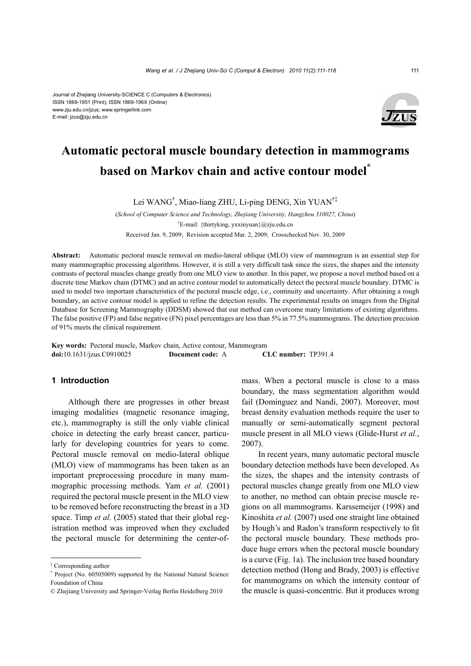#### Journal of Zhejiang University-SCIENCE C (Computers & Electronics) ISSN 1869-1951 (Print); ISSN 1869-196X (Online) www.zju.edu.cn/jzus; www.springerlink.com E-mail: jzus@zju.edu.cn



# **Automatic pectoral muscle boundary detection in mammograms based on Markov chain and active contour model\***

Lei WANG† , Miao-liang ZHU, Li-ping DENG, Xin YUAN†‡

(*School of Computer Science and Technology, Zhejiang University, Hangzhou 310027, China*) † E-mail: {thirtyking, yxxinyuan}@zju.edu.cn Received Jan. 9, 2009; Revision accepted Mar. 2, 2009; Crosschecked Nov. 30, 2009

**Abstract:** Automatic pectoral muscle removal on medio-lateral oblique (MLO) view of mammogram is an essential step for many mammographic processing algorithms. However, it is still a very difficult task since the sizes, the shapes and the intensity contrasts of pectoral muscles change greatly from one MLO view to another. In this paper, we propose a novel method based on a discrete time Markov chain (DTMC) and an active contour model to automatically detect the pectoral muscle boundary. DTMC is used to model two important characteristics of the pectoral muscle edge, i.e., continuity and uncertainty. After obtaining a rough boundary, an active contour model is applied to refine the detection results. The experimental results on images from the Digital Database for Screening Mammography (DDSM) showed that our method can overcome many limitations of existing algorithms. The false positive (FP) and false negative (FN) pixel percentages are less than 5% in 77.5% mammograms. The detection precision of 91% meets the clinical requirement.

**Key words:** Pectoral muscle, Markov chain, Active contour, Mammogram **doi:**10.1631/jzus.C0910025 **Document code:** A **CLC number:** TP391.4

## **1 Introduction**

Although there are progresses in other breast imaging modalities (magnetic resonance imaging, etc.), mammography is still the only viable clinical choice in detecting the early breast cancer, particularly for developing countries for years to come. Pectoral muscle removal on medio-lateral oblique (MLO) view of mammograms has been taken as an important preprocessing procedure in many mammographic processing methods. Yam *et al.* (2001) required the pectoral muscle present in the MLO view to be removed before reconstructing the breast in a 3D space. Timp *et al.* (2005) stated that their global registration method was improved when they excluded the pectoral muscle for determining the center-ofmass. When a pectoral muscle is close to a mass boundary, the mass segmentation algorithm would fail (Dominguez and Nandi, 2007). Moreover, most breast density evaluation methods require the user to manually or semi-automatically segment pectoral muscle present in all MLO views (Glide-Hurst *et al.*, 2007).

In recent years, many automatic pectoral muscle boundary detection methods have been developed. As the sizes, the shapes and the intensity contrasts of pectoral muscles change greatly from one MLO view to another, no method can obtain precise muscle regions on all mammograms. Karssemeijer (1998) and Kinoshita *et al.* (2007) used one straight line obtained by Hough's and Radon's transform respectively to fit the pectoral muscle boundary. These methods produce huge errors when the pectoral muscle boundary is a curve (Fig. 1a). The inclusion tree based boundary detection method (Hong and Brady, 2003) is effective for mammograms on which the intensity contour of the muscle is quasi-concentric. But it produces wrong

<sup>‡</sup> Corresponding author

<sup>\*</sup> Project (No. 60505009) supported by the National Natural Science Foundation of China

<sup>©</sup> Zhejiang University and Springer-Verlag Berlin Heidelberg 2010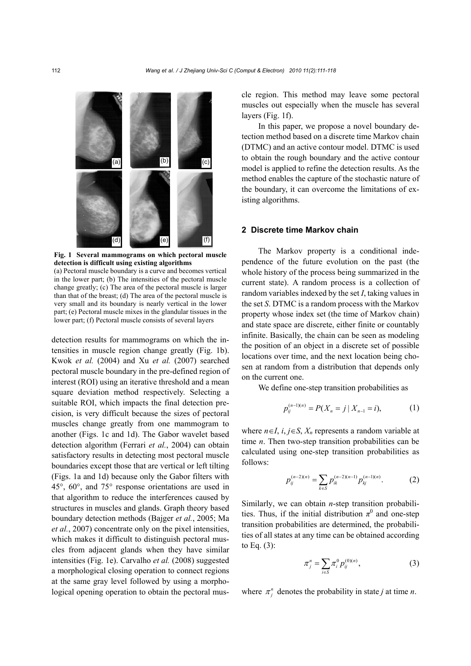

**Fig. 1 Several mammograms on which pectoral muscle detection is difficult using existing algorithms** 

(a) Pectoral muscle boundary is a curve and becomes vertical in the lower part; (b) The intensities of the pectoral muscle change greatly; (c) The area of the pectoral muscle is larger than that of the breast; (d) The area of the pectoral muscle is very small and its boundary is nearly vertical in the lower part; (e) Pectoral muscle mixes in the glandular tissues in the lower part; (f) Pectoral muscle consists of several layers

detection results for mammograms on which the intensities in muscle region change greatly (Fig. 1b). Kwok *et al.* (2004) and Xu *et al.* (2007) searched pectoral muscle boundary in the pre-defined region of interest (ROI) using an iterative threshold and a mean square deviation method respectively. Selecting a suitable ROI, which impacts the final detection precision, is very difficult because the sizes of pectoral muscles change greatly from one mammogram to another (Figs. 1c and 1d). The Gabor wavelet based detection algorithm (Ferrari *et al.*, 2004) can obtain satisfactory results in detecting most pectoral muscle boundaries except those that are vertical or left tilting (Figs. 1a and 1d) because only the Gabor filters with 45°, 60°, and 75° response orientations are used in that algorithm to reduce the interferences caused by structures in muscles and glands. Graph theory based boundary detection methods (Bajger *et al.*, 2005; Ma *et al.*, 2007) concentrate only on the pixel intensities, which makes it difficult to distinguish pectoral muscles from adjacent glands when they have similar intensities (Fig. 1e). Carvalho *et al.* (2008) suggested a morphological closing operation to connect regions at the same gray level followed by using a morphological opening operation to obtain the pectoral muscle region. This method may leave some pectoral muscles out especially when the muscle has several layers (Fig. 1f).

In this paper, we propose a novel boundary detection method based on a discrete time Markov chain (DTMC) and an active contour model. DTMC is used to obtain the rough boundary and the active contour model is applied to refine the detection results. As the method enables the capture of the stochastic nature of the boundary, it can overcome the limitations of existing algorithms.

## **2 Discrete time Markov chain**

The Markov property is a conditional independence of the future evolution on the past (the whole history of the process being summarized in the current state). A random process is a collection of random variables indexed by the set *I*, taking values in the set *S*. DTMC is a random process with the Markov property whose index set (the time of Markov chain) and state space are discrete, either finite or countably infinite. Basically, the chain can be seen as modeling the position of an object in a discrete set of possible locations over time, and the next location being chosen at random from a distribution that depends only on the current one.

We define one-step transition probabilities as

$$
p_{ij}^{(n-1)(n)} = P(X_n = j \mid X_{n-1} = i), \tag{1}
$$

where  $n \in I$ ,  $i, j \in S$ ,  $X_n$  represents a random variable at time *n*. Then two-step transition probabilities can be calculated using one-step transition probabilities as follows:

$$
p_{ij}^{(n-2)(n)} = \sum_{k \in S} p_{ik}^{(n-2)(n-1)} p_{kj}^{(n-1)(n)}.
$$
 (2)

Similarly, we can obtain *n*-step transition probabilities. Thus, if the initial distribution  $\pi^0$  and one-step transition probabilities are determined, the probabilities of all states at any time can be obtained according to Eq. (3):

$$
\pi_j^n = \sum_{i \in S} \pi_i^0 p_{ij}^{(0)(n)}, \tag{3}
$$

where  $\pi_i^n$  denotes the probability in state *j* at time *n*.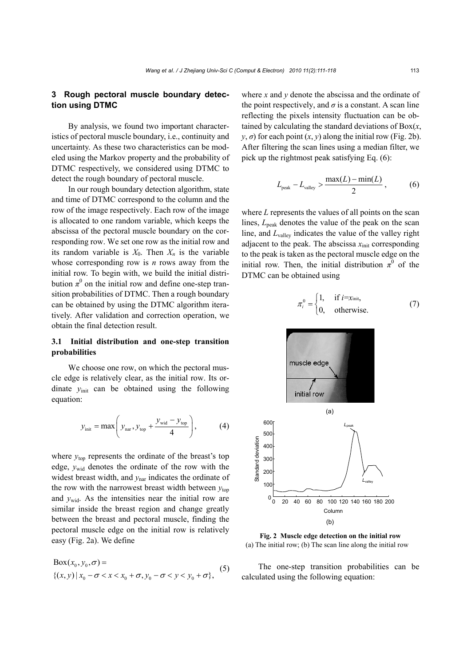## **3 Rough pectoral muscle boundary detection using DTMC**

By analysis, we found two important characteristics of pectoral muscle boundary, i.e., continuity and uncertainty. As these two characteristics can be modeled using the Markov property and the probability of DTMC respectively, we considered using DTMC to detect the rough boundary of pectoral muscle.

In our rough boundary detection algorithm, state and time of DTMC correspond to the column and the row of the image respectively. Each row of the image is allocated to one random variable, which keeps the abscissa of the pectoral muscle boundary on the corresponding row. We set one row as the initial row and its random variable is  $X_0$ . Then  $X_n$  is the variable whose corresponding row is *n* rows away from the initial row. To begin with, we build the initial distribution  $\pi^0$  on the initial row and define one-step transition probabilities of DTMC. Then a rough boundary can be obtained by using the DTMC algorithm iteratively. After validation and correction operation, we obtain the final detection result.

## **3.1 Initial distribution and one-step transition probabilities**

We choose one row, on which the pectoral muscle edge is relatively clear, as the initial row. Its ordinate *y*init can be obtained using the following equation:

$$
y_{\text{init}} = \max\left(y_{\text{nar}}, y_{\text{top}} + \frac{y_{\text{wid}} - y_{\text{top}}}{4}\right),\tag{4}
$$

where  $y_{\text{top}}$  represents the ordinate of the breast's top edge,  $y_{\text{wid}}$  denotes the ordinate of the row with the widest breast width, and  $y<sub>nar</sub>$  indicates the ordinate of the row with the narrowest breast width between  $y_{top}$ and  $y_{\text{wid}}$ . As the intensities near the initial row are similar inside the breast region and change greatly between the breast and pectoral muscle, finding the pectoral muscle edge on the initial row is relatively easy (Fig. 2a). We define

0 0 0 00 0 Box( , , ) {( , ) | , }, *x y xy x x x y y y* σ σ σσ σ = − << + − << + (5)

where *x* and *y* denote the abscissa and the ordinate of the point respectively, and  $\sigma$  is a constant. A scan line reflecting the pixels intensity fluctuation can be obtained by calculating the standard deviations of Box(*x*,  $y, \sigma$  for each point  $(x, y)$  along the initial row (Fig. 2b). After filtering the scan lines using a median filter, we pick up the rightmost peak satisfying Eq. (6):

$$
L_{\text{peak}} - L_{\text{valley}} > \frac{\max(L) - \min(L)}{2}, \quad (6)
$$

where *L* represents the values of all points on the scan lines, *L*<sub>peak</sub> denotes the value of the peak on the scan line, and *L*valley indicates the value of the valley right adjacent to the peak. The abscissa  $x_{\text{init}}$  corresponding to the peak is taken as the pectoral muscle edge on the initial row. Then, the initial distribution  $\pi^0$  of the DTMC can be obtained using

$$
\pi_i^0 = \begin{cases} 1, & \text{if } i = x_{\text{init}}, \\ 0, & \text{otherwise.} \end{cases}
$$
 (7)



**Fig. 2 Muscle edge detection on the initial row**  (a) The initial row; (b) The scan line along the initial row

The one-step transition probabilities can be calculated using the following equation: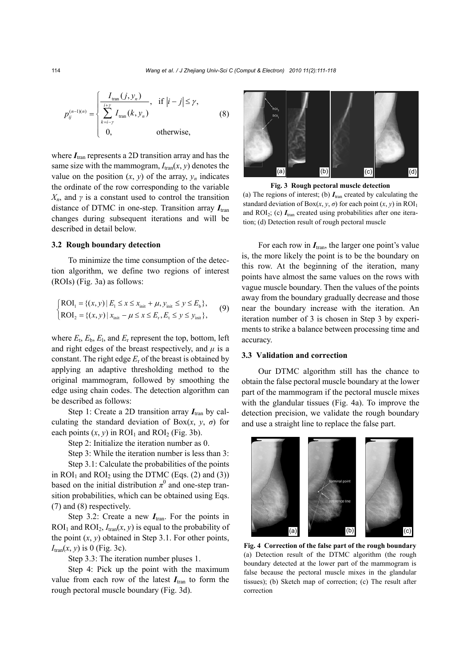$$
p_{ij}^{(n-1)(n)} = \begin{cases} \frac{I_{\text{tran}}(j, y_n)}{\sum\limits_{k=i-\gamma}^{i+\gamma} I_{\text{tran}}(k, y_n)}, & \text{if } |i-j| \leq \gamma, \\ 0, & \text{otherwise,} \end{cases}
$$
(8)

where  $I_{\text{tran}}$  represents a 2D transition array and has the same size with the mammogram,  $I_{tran}(x, y)$  denotes the value on the position  $(x, y)$  of the array,  $y_n$  indicates the ordinate of the row corresponding to the variable *Xn*, and *γ* is a constant used to control the transition distance of DTMC in one-step. Transition array  $I_{tran}$ changes during subsequent iterations and will be described in detail below.

### **3.2 Rough boundary detection**

To minimize the time consumption of the detection algorithm, we define two regions of interest (ROIs) (Fig. 3a) as follows:

$$
\begin{cases}\n\text{ROI}_1 = \{(x, y) \mid E_1 \le x \le x_{\text{init}} + \mu, y_{\text{init}} \le y \le E_b\}, \\
\text{ROI}_2 = \{(x, y) \mid x_{\text{init}} - \mu \le x \le E_r, E_t \le y \le y_{\text{init}}\},\n\end{cases} \tag{9}
$$

where  $E_t$ ,  $E_b$ ,  $E_l$ , and  $E_r$  represent the top, bottom, left and right edges of the breast respectively, and  $\mu$  is a constant. The right edge *E*r of the breast is obtained by applying an adaptive thresholding method to the original mammogram, followed by smoothing the edge using chain codes. The detection algorithm can be described as follows:

Step 1: Create a 2D transition array  $I_{tran}$  by calculating the standard deviation of Box $(x, y, \sigma)$  for each points  $(x, y)$  in ROI<sub>1</sub> and ROI<sub>2</sub> (Fig. 3b).

Step 2: Initialize the iteration number as 0.

Step 3: While the iteration number is less than 3:

Step 3.1: Calculate the probabilities of the points in  $ROI<sub>1</sub>$  and  $ROI<sub>2</sub>$  using the DTMC (Eqs. (2) and (3)) based on the initial distribution  $\pi^0$  and one-step transition probabilities, which can be obtained using Eqs. (7) and (8) respectively.

Step 3.2: Create a new  $I<sub>tran</sub>$ . For the points in  $ROI<sub>1</sub>$  and  $ROI<sub>2</sub>$ ,  $I<sub>tran</sub>(x, y)$  is equal to the probability of the point  $(x, y)$  obtained in Step 3.1. For other points, *I*tran(*x*, *y*) is 0 (Fig. 3c).

Step 3.3: The iteration number pluses 1.

Step 4: Pick up the point with the maximum value from each row of the latest  $I_{tran}$  to form the rough pectoral muscle boundary (Fig. 3d).



**Fig. 3 Rough pectoral muscle detection**  (a) The regions of interest; (b)  $I<sub>tran</sub>$  created by calculating the standard deviation of  $Box(x, y, \sigma)$  for each point  $(x, y)$  in  $ROI_1$ and  $ROI<sub>2</sub>$ ; (c)  $I<sub>tran</sub>$  created using probabilities after one iteration; (d) Detection result of rough pectoral muscle

For each row in  $I_{\text{tran}}$ , the larger one point's value is, the more likely the point is to be the boundary on this row. At the beginning of the iteration, many points have almost the same values on the rows with vague muscle boundary. Then the values of the points away from the boundary gradually decrease and those near the boundary increase with the iteration. An iteration number of 3 is chosen in Step 3 by experiments to strike a balance between processing time and accuracy.

## **3.3 Validation and correction**

Our DTMC algorithm still has the chance to obtain the false pectoral muscle boundary at the lower part of the mammogram if the pectoral muscle mixes with the glandular tissues (Fig. 4a). To improve the detection precision, we validate the rough boundary and use a straight line to replace the false part.



**Fig. 4 Correction of the false part of the rough boundary** (a) Detection result of the DTMC algorithm (the rough boundary detected at the lower part of the mammogram is false because the pectoral muscle mixes in the glandular tissues); (b) Sketch map of correction; (c) The result after correction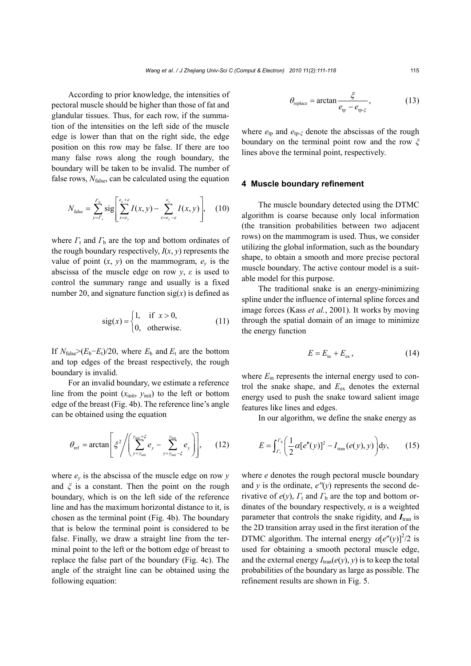According to prior knowledge, the intensities of pectoral muscle should be higher than those of fat and glandular tissues. Thus, for each row, if the summation of the intensities on the left side of the muscle edge is lower than that on the right side, the edge position on this row may be false. If there are too many false rows along the rough boundary, the boundary will be taken to be invalid. The number of false rows,  $N_{\text{false}}$ , can be calculated using the equation

$$
N_{\text{false}} = \sum_{y = \Gamma_{\text{t}}}^{\Gamma_{\text{b}}} \text{sig} \Bigg[ \sum_{x = e_y}^{e_y + \varepsilon} I(x, y) - \sum_{x = e_y - \varepsilon}^{e_y} I(x, y) \Bigg], \quad (10)
$$

where  $\Gamma_t$  and  $\Gamma_b$  are the top and bottom ordinates of the rough boundary respectively,  $I(x, y)$  represents the value of point  $(x, y)$  on the mammogram,  $e_y$  is the abscissa of the muscle edge on row  $y$ ,  $\varepsilon$  is used to control the summary range and usually is a fixed number 20, and signature function  $sig(x)$  is defined as

$$
sig(x) = \begin{cases} 1, & \text{if } x > 0, \\ 0, & \text{otherwise.} \end{cases}
$$
 (11)

If  $N_{\text{false}} \geq (E_b - E_t)/20$ , where  $E_b$  and  $E_t$  are the bottom and top edges of the breast respectively, the rough boundary is invalid.

For an invalid boundary, we estimate a reference line from the point  $(x_{init}, y_{init})$  to the left or bottom edge of the breast (Fig. 4b). The reference line's angle can be obtained using the equation

$$
\theta_{\rm ref} = \arctan\left[\xi^2 / \left(\sum_{y=y_{\rm init}}^{y_{\rm init}+\xi} e_y - \sum_{y=y_{\rm init}-\xi}^{y_{\rm init}} e_y\right)\right],\qquad(12)
$$

where  $e_y$  is the abscissa of the muscle edge on row  $y$ and *ξ* is a constant. Then the point on the rough boundary, which is on the left side of the reference line and has the maximum horizontal distance to it, is chosen as the terminal point (Fig. 4b). The boundary that is below the terminal point is considered to be false. Finally, we draw a straight line from the terminal point to the left or the bottom edge of breast to replace the false part of the boundary (Fig. 4c). The angle of the straight line can be obtained using the following equation:

$$
\theta_{\text{replace}} = \arctan \frac{\xi}{e_{\text{tp}} - e_{\text{tp-}\xi}},\tag{13}
$$

where *e*tp and *e*tp*-<sup>ξ</sup>* denote the abscissas of the rough boundary on the terminal point row and the row *ξ* lines above the terminal point, respectively.

#### **4 Muscle boundary refinement**

The muscle boundary detected using the DTMC algorithm is coarse because only local information (the transition probabilities between two adjacent rows) on the mammogram is used. Thus, we consider utilizing the global information, such as the boundary shape, to obtain a smooth and more precise pectoral muscle boundary. The active contour model is a suitable model for this purpose.

The traditional snake is an energy-minimizing spline under the influence of internal spline forces and image forces (Kass *et al.*, 2001). It works by moving through the spatial domain of an image to minimize the energy function

$$
E = E_{\text{in}} + E_{\text{ex}}\,,\tag{14}
$$

where  $E_{\text{in}}$  represents the internal energy used to control the snake shape, and *E*ex denotes the external energy used to push the snake toward salient image features like lines and edges.

In our algorithm, we define the snake energy as

$$
E = \int_{I_1}^{I_b} \left( \frac{1}{2} \alpha [e''(y)]^2 - I_{\text{tran}}(e(y), y) \right) dy, \qquad (15)
$$

where *e* denotes the rough pectoral muscle boundary and  $\gamma$  is the ordinate,  $e''(\gamma)$  represents the second derivative of  $e(y)$ ,  $\Gamma_t$  and  $\Gamma_b$  are the top and bottom ordinates of the boundary respectively,  $\alpha$  is a weighted parameter that controls the snake rigidity, and  $I_{tran}$  is the 2D transition array used in the first iteration of the DTMC algorithm. The internal energy  $\alpha[e''(y)]^2/2$  is used for obtaining a smooth pectoral muscle edge, and the external energy  $I_{tran}(e(y), y)$  is to keep the total probabilities of the boundary as large as possible. The refinement results are shown in Fig. 5.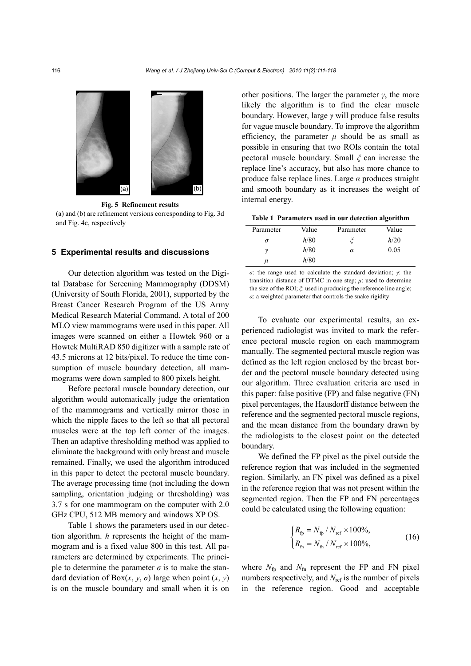

**Fig. 5 Refinement results**  (a) and (b) are refinement versions corresponding to Fig. 3d and Fig. 4c, respectively

### **5 Experimental results and discussions**

Our detection algorithm was tested on the Digital Database for Screening Mammography (DDSM) (University of South Florida, 2001), supported by the Breast Cancer Research Program of the US Army Medical Research Material Command. A total of 200 MLO view mammograms were used in this paper. All images were scanned on either a Howtek 960 or a Howtek MultiRAD 850 digitizer with a sample rate of 43.5 microns at 12 bits/pixel. To reduce the time consumption of muscle boundary detection, all mammograms were down sampled to 800 pixels height.

Before pectoral muscle boundary detection, our algorithm would automatically judge the orientation of the mammograms and vertically mirror those in which the nipple faces to the left so that all pectoral muscles were at the top left corner of the images. Then an adaptive thresholding method was applied to eliminate the background with only breast and muscle remained. Finally, we used the algorithm introduced in this paper to detect the pectoral muscle boundary. The average processing time (not including the down sampling, orientation judging or thresholding) was 3.7 s for one mammogram on the computer with 2.0 GHz CPU, 512 MB memory and windows XP OS.

Table 1 shows the parameters used in our detection algorithm. *h* represents the height of the mammogram and is a fixed value 800 in this test. All parameters are determined by experiments. The principle to determine the parameter  $\sigma$  is to make the standard deviation of Box $(x, y, \sigma)$  large when point  $(x, y)$ is on the muscle boundary and small when it is on

other positions. The larger the parameter *γ*, the more likely the algorithm is to find the clear muscle boundary. However, large *γ* will produce false results for vague muscle boundary. To improve the algorithm efficiency, the parameter  $\mu$  should be as small as possible in ensuring that two ROIs contain the total pectoral muscle boundary. Small *ξ* can increase the replace line's accuracy, but also has more chance to produce false replace lines. Large *α* produces straight and smooth boundary as it increases the weight of internal energy.

**Table 1 Parameters used in our detection algorithm**

| Parameter | Value | Parameter | Value |
|-----------|-------|-----------|-------|
| Ω         | h/80  |           | h/20  |
| า         | h/80  | α         | 0.05  |
| и         | h/80  |           |       |

*σ*: the range used to calculate the standard deviation; *γ*: the transition distance of DTMC in one step;  $\mu$ : used to determine the size of the ROI; *ξ*: used in producing the reference line angle; *α*: a weighted parameter that controls the snake rigidity

To evaluate our experimental results, an experienced radiologist was invited to mark the reference pectoral muscle region on each mammogram manually. The segmented pectoral muscle region was defined as the left region enclosed by the breast border and the pectoral muscle boundary detected using our algorithm. Three evaluation criteria are used in this paper: false positive (FP) and false negative (FN) pixel percentages, the Hausdorff distance between the reference and the segmented pectoral muscle regions, and the mean distance from the boundary drawn by the radiologists to the closest point on the detected boundary.

We defined the FP pixel as the pixel outside the reference region that was included in the segmented region. Similarly, an FN pixel was defined as a pixel in the reference region that was not present within the segmented region. Then the FP and FN percentages could be calculated using the following equation:

$$
\begin{cases} R_{\rm fp} = N_{\rm fp} / N_{\rm ref} \times 100\%, \\ R_{\rm fn} = N_{\rm fn} / N_{\rm ref} \times 100\%, \end{cases}
$$
 (16)

where  $N_{\text{fn}}$  and  $N_{\text{fn}}$  represent the FP and FN pixel numbers respectively, and *N*<sub>ref</sub> is the number of pixels in the reference region. Good and acceptable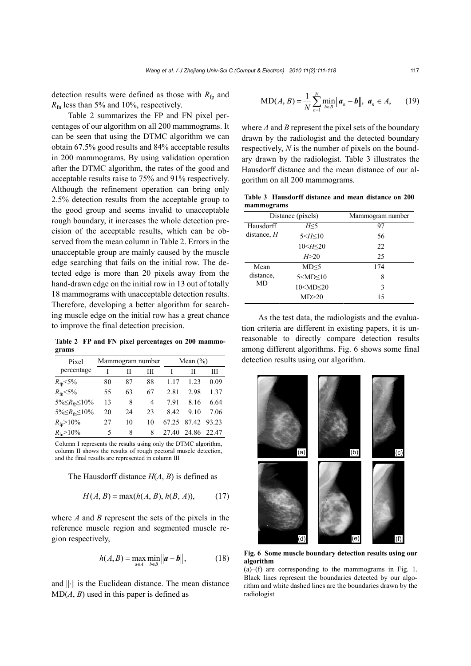detection results were defined as those with  $R_{fp}$  and *R*fn less than 5% and 10%, respectively.

Table 2 summarizes the FP and FN pixel percentages of our algorithm on all 200 mammograms. It can be seen that using the DTMC algorithm we can obtain 67.5% good results and 84% acceptable results in 200 mammograms. By using validation operation after the DTMC algorithm, the rates of the good and acceptable results raise to 75% and 91% respectively. Although the refinement operation can bring only 2.5% detection results from the acceptable group to the good group and seems invalid to unacceptable rough boundary, it increases the whole detection precision of the acceptable results, which can be observed from the mean column in Table 2. Errors in the unacceptable group are mainly caused by the muscle edge searching that fails on the initial row. The detected edge is more than 20 pixels away from the hand-drawn edge on the initial row in 13 out of totally 18 mammograms with unacceptable detection results. Therefore, developing a better algorithm for searching muscle edge on the initial row has a great chance to improve the final detection precision.

**Table 2 FP and FN pixel percentages on 200 mammograms**

| Pixel                             | Mammogram number |    | Mean $(\% )$ |       |                   |             |
|-----------------------------------|------------------|----|--------------|-------|-------------------|-------------|
| percentage                        |                  | Н  | Ш            |       | н                 | Ш           |
| $R_{\rm fp}$ < 5%                 | 80               | 87 | 88           | 117   | 1 23              | 0.09        |
| $R_{\rm fn}$ < 5%                 | 55               | 63 | 67           | 2.81  | 2.98              | 1.37        |
| 5% $\leq R_{\text{fp}} \leq 10\%$ | 13               | 8  | 4            | 791   | 8.16              | 6.64        |
| $5\% \leq R_{\rm fin} \leq 10\%$  | 20               | 24 | 23           | 8.42  | 9.10              | 7.06        |
| $R_{\rm fp} > 10\%$               | 27               | 10 | 10           | 67.25 |                   | 87.42 93.23 |
| $R_{\rm fin} > 10\%$              | 5                | 8  | 8            |       | 27.40 24.86 22.47 |             |

Column I represents the results using only the DTMC algorithm, column II shows the results of rough pectoral muscle detection, and the final results are represented in column III

The Hausdorff distance *H*(*A*, *B*) is defined as

$$
H(A, B) = \max(h(A, B), h(B, A)),
$$
 (17)

where *A* and *B* represent the sets of the pixels in the reference muscle region and segmented muscle region respectively,

$$
h(A, B) = \max_{a \in A} \min_{b \in B} \|a - b\|,
$$
 (18)

and ||⋅|| is the Euclidean distance. The mean distance  $MD(A, B)$  used in this paper is defined as

$$
MD(A, B) = \frac{1}{N} \sum_{n=1}^{N} \min_{b \in B} ||a_n - b||, \ a_n \in A,
$$
 (19)

where *A* and *B* represent the pixel sets of the boundary drawn by the radiologist and the detected boundary respectively, *N* is the number of pixels on the boundary drawn by the radiologist. Table 3 illustrates the Hausdorff distance and the mean distance of our algorithm on all 200 mammograms.

**Table 3 Hausdorff distance and mean distance on 200 mammograms**

| Distance (pixels) |                                      | Mammogram number |  |  |
|-------------------|--------------------------------------|------------------|--|--|
| Hausdorff         | H<5                                  | 97               |  |  |
| distance, $H$     | 5 < H < 10                           | 56               |  |  |
|                   | 10 < H < 20                          | 22               |  |  |
|                   | H > 20                               | 25               |  |  |
| Mean              | MD < 5                               | 174              |  |  |
| distance.<br>MD   | $5 <$ MD $<$ 10                      | 8                |  |  |
|                   | 10 <md<20< td=""><td>3</td></md<20<> | 3                |  |  |
|                   | MD>20                                | 15               |  |  |

As the test data, the radiologists and the evaluation criteria are different in existing papers, it is unreasonable to directly compare detection results among different algorithms. Fig. 6 shows some final detection results using our algorithm.



**Fig. 6 Some muscle boundary detection results using our algorithm** 

(a)–(f) are corresponding to the mammograms in Fig. 1. Black lines represent the boundaries detected by our algorithm and white dashed lines are the boundaries drawn by the radiologist